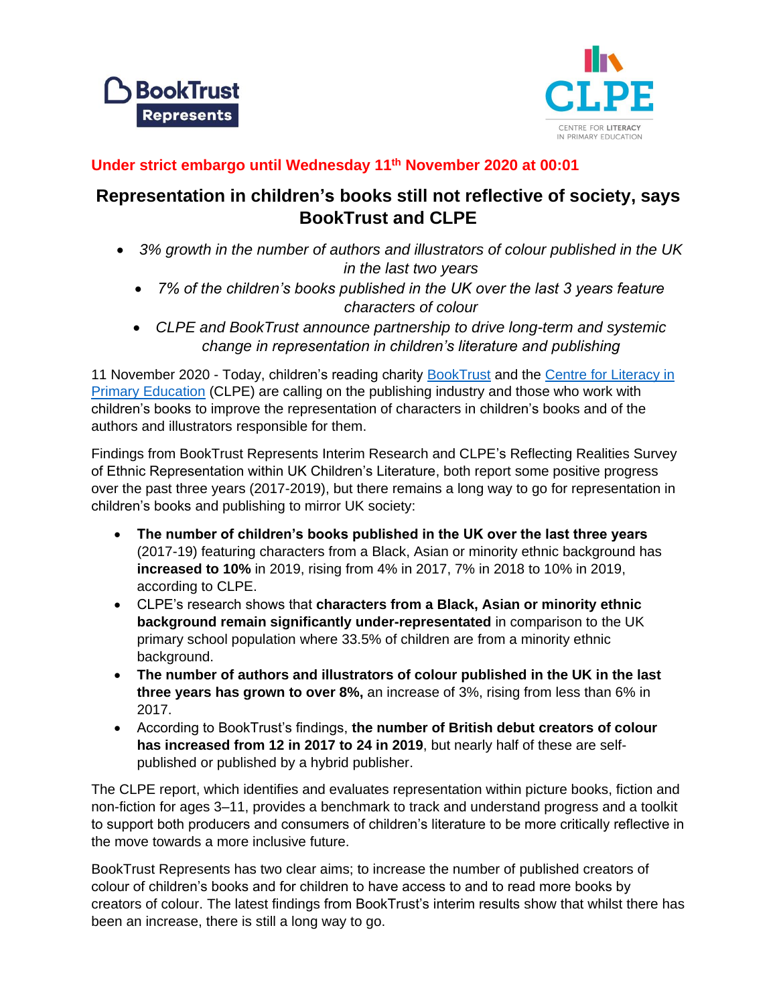



## **Under strict embargo until Wednesday 11th November 2020 at 00:01**

# **Representation in children's books still not reflective of society, says BookTrust and CLPE**

- *3% growth in the number of authors and illustrators of colour published in the UK in the last two years*
	- *7% of the children's books published in the UK over the last 3 years feature characters of colour*
	- *CLPE and BookTrust announce partnership to drive long-term and systemic change in representation in children's literature and publishing*

11 November 2020 - Today, children's reading charity [BookTrust](file:///C:/Users/Laura.Trendall/Downloads/booktrust.org.uk) and the [Centre for Literacy in](https://clpe.org.uk/)  [Primary Education](https://clpe.org.uk/) (CLPE) are calling on the publishing industry and those who work with children's books to improve the representation of characters in children's books and of the authors and illustrators responsible for them.

Findings from BookTrust Represents Interim Research and CLPE's Reflecting Realities Survey of Ethnic Representation within UK Children's Literature, both report some positive progress over the past three years (2017-2019), but there remains a long way to go for representation in children's books and publishing to mirror UK society:

- **The number of children's books published in the UK over the last three years**  (2017-19) featuring characters from a Black, Asian or minority ethnic background has **increased to 10%** in 2019, rising from 4% in 2017, 7% in 2018 to 10% in 2019, according to CLPE.
- CLPE's research shows that **characters from a Black, Asian or minority ethnic background remain significantly under-representated** in comparison to the UK primary school population where 33.5% of children are from a minority ethnic background.
- **The number of authors and illustrators of colour published in the UK in the last three years has grown to over 8%,** an increase of 3%, rising from less than 6% in 2017.
- According to BookTrust's findings, **the number of British debut creators of colour has increased from 12 in 2017 to 24 in 2019**, but nearly half of these are selfpublished or published by a hybrid publisher.

The CLPE report, which identifies and evaluates representation within picture books, fiction and non-fiction for ages 3–11, provides a benchmark to track and understand progress and a toolkit to support both producers and consumers of children's literature to be more critically reflective in the move towards a more inclusive future.

BookTrust Represents has two clear aims; to increase the number of published creators of colour of children's books and for children to have access to and to read more books by creators of colour. The latest findings from BookTrust's interim results show that whilst there has been an increase, there is still a long way to go.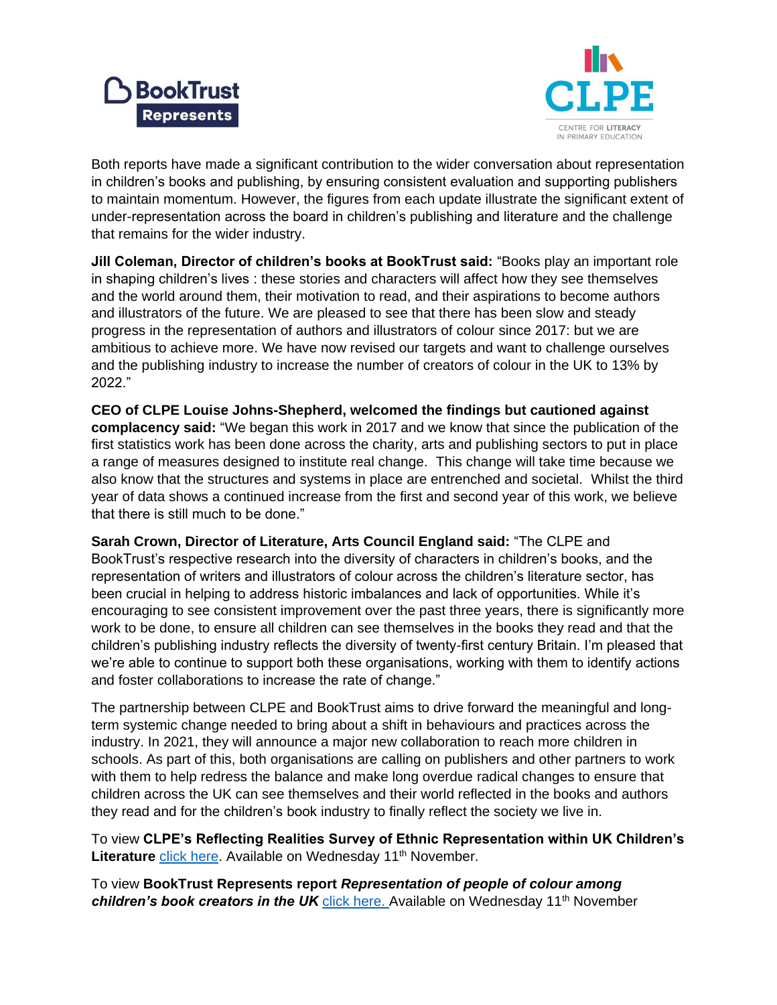



Both reports have made a significant contribution to the wider conversation about representation in children's books and publishing, by ensuring consistent evaluation and supporting publishers to maintain momentum. However, the figures from each update illustrate the significant extent of under-representation across the board in children's publishing and literature and the challenge that remains for the wider industry.

**Jill Coleman, Director of children's books at BookTrust said:** "Books play an important role in shaping children's lives : these stories and characters will affect how they see themselves and the world around them, their motivation to read, and their aspirations to become authors and illustrators of the future. We are pleased to see that there has been slow and steady progress in the representation of authors and illustrators of colour since 2017: but we are ambitious to achieve more. We have now revised our targets and want to challenge ourselves and the publishing industry to increase the number of creators of colour in the UK to 13% by 2022."

**CEO of CLPE Louise Johns-Shepherd, welcomed the findings but cautioned against complacency said:** "We began this work in 2017 and we know that since the publication of the first statistics work has been done across the charity, arts and publishing sectors to put in place a range of measures designed to institute real change. This change will take time because we also know that the structures and systems in place are entrenched and societal. Whilst the third year of data shows a continued increase from the first and second year of this work, we believe that there is still much to be done."

**Sarah Crown, Director of Literature, Arts Council England said:** "The CLPE and BookTrust's respective research into the diversity of characters in children's books, and the representation of writers and illustrators of colour across the children's literature sector, has been crucial in helping to address historic imbalances and lack of opportunities. While it's encouraging to see consistent improvement over the past three years, there is significantly more work to be done, to ensure all children can see themselves in the books they read and that the children's publishing industry reflects the diversity of twenty-first century Britain. I'm pleased that we're able to continue to support both these organisations, working with them to identify actions and foster collaborations to increase the rate of change."

The partnership between CLPE and BookTrust aims to drive forward the meaningful and longterm systemic change needed to bring about a shift in behaviours and practices across the industry. In 2021, they will announce a major new collaboration to reach more children in schools. As part of this, both organisations are calling on publishers and other partners to work with them to help redress the balance and make long overdue radical changes to ensure that children across the UK can see themselves and their world reflected in the books and authors they read and for the children's book industry to finally reflect the society we live in.

To view **CLPE's Reflecting Realities Survey of Ethnic Representation within UK Children's**  Literature [click here.](https://clpe.org.uk/publications-and-bookpacks/reflecting-realities) Available on Wednesday 11<sup>th</sup> November.

To view **BookTrust Represents report** *Representation of people of colour among children's book creators in the UK [click here.](https://www.booktrust.org.uk/represents)* Available on Wednesday 11<sup>th</sup> November